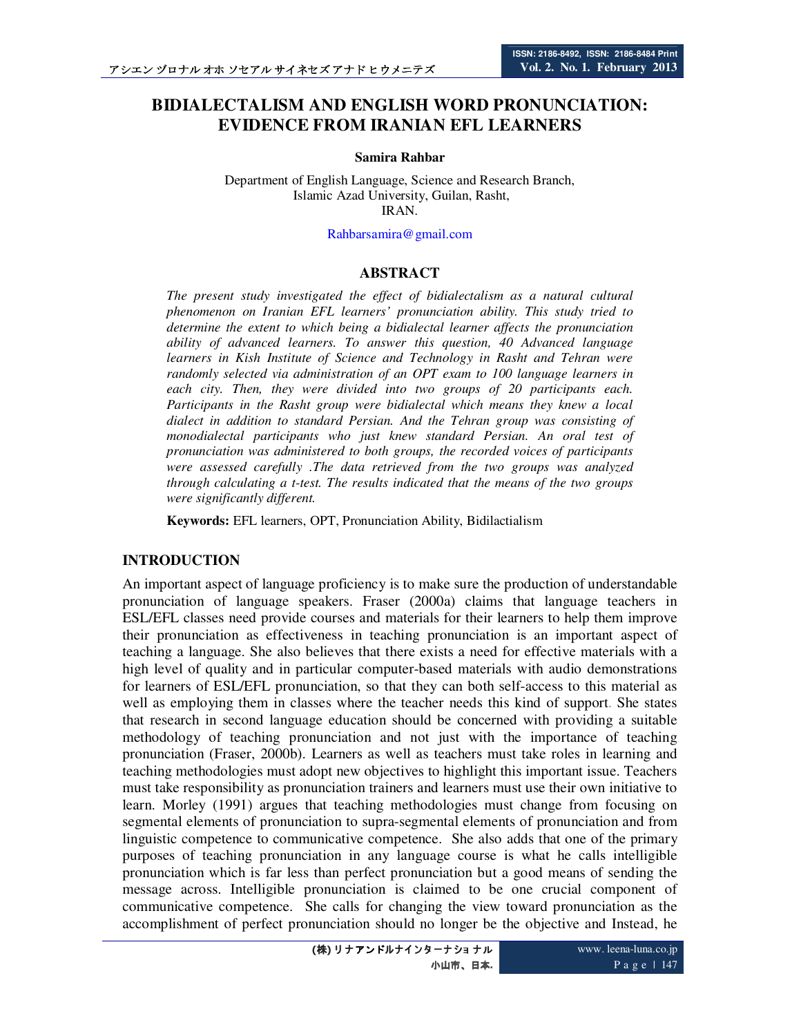# **BIDIALECTALISM AND ENGLISH WORD PRONUNCIATION: EVIDENCE FROM IRANIAN EFL LEARNERS**

#### **Samira Rahbar**

Department of English Language, Science and Research Branch, Islamic Azad University, Guilan, Rasht, IRAN.

Rahbarsamira@gmail.com

#### **ABSTRACT**

*The present study investigated the effect of bidialectalism as a natural cultural phenomenon on Iranian EFL learners' pronunciation ability. This study tried to determine the extent to which being a bidialectal learner affects the pronunciation ability of advanced learners. To answer this question, 40 Advanced language learners in Kish Institute of Science and Technology in Rasht and Tehran were randomly selected via administration of an OPT exam to 100 language learners in each city. Then, they were divided into two groups of 20 participants each. Participants in the Rasht group were bidialectal which means they knew a local dialect in addition to standard Persian. And the Tehran group was consisting of monodialectal participants who just knew standard Persian. An oral test of pronunciation was administered to both groups, the recorded voices of participants were assessed carefully .The data retrieved from the two groups was analyzed through calculating a t-test. The results indicated that the means of the two groups were significantly different.* 

**Keywords:** EFL learners, OPT, Pronunciation Ability, Bidilactialism

#### **INTRODUCTION**

An important aspect of language proficiency is to make sure the production of understandable pronunciation of language speakers. Fraser (2000a) claims that language teachers in ESL/EFL classes need provide courses and materials for their learners to help them improve their pronunciation as effectiveness in teaching pronunciation is an important aspect of teaching a language. She also believes that there exists a need for effective materials with a high level of quality and in particular computer-based materials with audio demonstrations for learners of ESL/EFL pronunciation, so that they can both self-access to this material as well as employing them in classes where the teacher needs this kind of support. She states that research in second language education should be concerned with providing a suitable methodology of teaching pronunciation and not just with the importance of teaching pronunciation (Fraser, 2000b). Learners as well as teachers must take roles in learning and teaching methodologies must adopt new objectives to highlight this important issue. Teachers must take responsibility as pronunciation trainers and learners must use their own initiative to learn. Morley (1991) argues that teaching methodologies must change from focusing on segmental elements of pronunciation to supra-segmental elements of pronunciation and from linguistic competence to communicative competence. She also adds that one of the primary purposes of teaching pronunciation in any language course is what he calls intelligible pronunciation which is far less than perfect pronunciation but a good means of sending the message across. Intelligible pronunciation is claimed to be one crucial component of communicative competence. She calls for changing the view toward pronunciation as the accomplishment of perfect pronunciation should no longer be the objective and Instead, he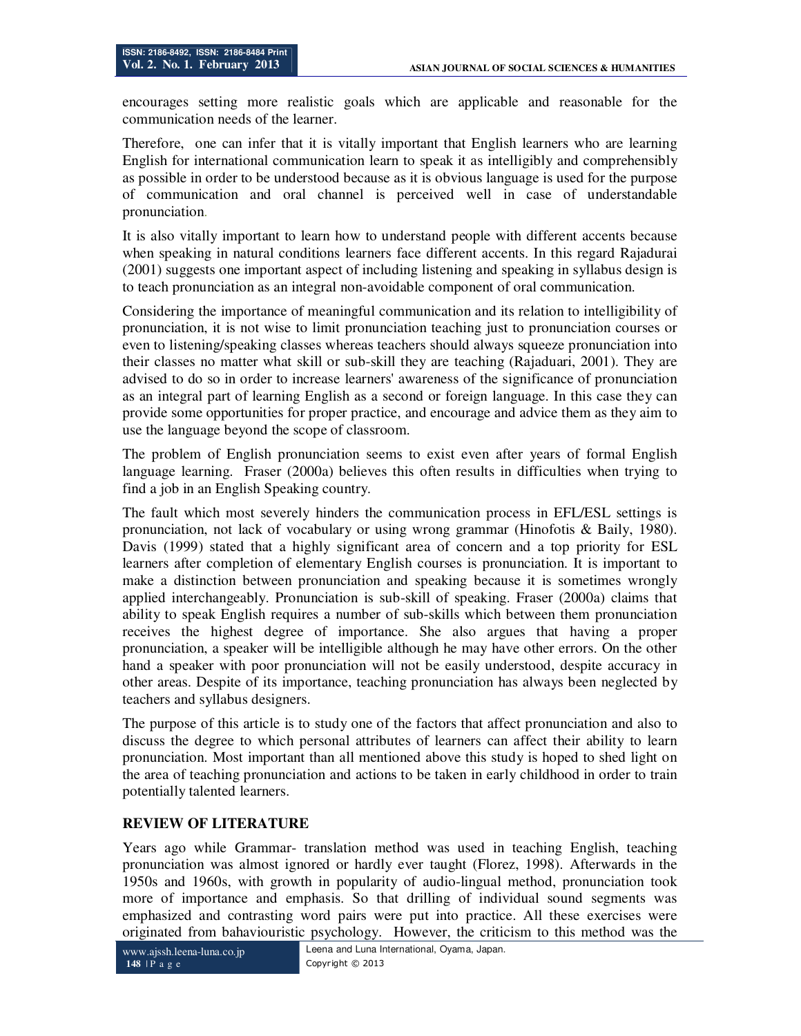encourages setting more realistic goals which are applicable and reasonable for the communication needs of the learner.

Therefore, one can infer that it is vitally important that English learners who are learning English for international communication learn to speak it as intelligibly and comprehensibly as possible in order to be understood because as it is obvious language is used for the purpose of communication and oral channel is perceived well in case of understandable pronunciation.

It is also vitally important to learn how to understand people with different accents because when speaking in natural conditions learners face different accents. In this regard Rajadurai (2001) suggests one important aspect of including listening and speaking in syllabus design is to teach pronunciation as an integral non-avoidable component of oral communication.

Considering the importance of meaningful communication and its relation to intelligibility of pronunciation, it is not wise to limit pronunciation teaching just to pronunciation courses or even to listening/speaking classes whereas teachers should always squeeze pronunciation into their classes no matter what skill or sub-skill they are teaching (Rajaduari, 2001). They are advised to do so in order to increase learners' awareness of the significance of pronunciation as an integral part of learning English as a second or foreign language. In this case they can provide some opportunities for proper practice, and encourage and advice them as they aim to use the language beyond the scope of classroom.

The problem of English pronunciation seems to exist even after years of formal English language learning. Fraser (2000a) believes this often results in difficulties when trying to find a job in an English Speaking country.

The fault which most severely hinders the communication process in EFL/ESL settings is pronunciation, not lack of vocabulary or using wrong grammar (Hinofotis & Baily, 1980). Davis (1999) stated that a highly significant area of concern and a top priority for ESL learners after completion of elementary English courses is pronunciation. It is important to make a distinction between pronunciation and speaking because it is sometimes wrongly applied interchangeably. Pronunciation is sub-skill of speaking. Fraser (2000a) claims that ability to speak English requires a number of sub-skills which between them pronunciation receives the highest degree of importance. She also argues that having a proper pronunciation, a speaker will be intelligible although he may have other errors. On the other hand a speaker with poor pronunciation will not be easily understood, despite accuracy in other areas. Despite of its importance, teaching pronunciation has always been neglected by teachers and syllabus designers.

The purpose of this article is to study one of the factors that affect pronunciation and also to discuss the degree to which personal attributes of learners can affect their ability to learn pronunciation. Most important than all mentioned above this study is hoped to shed light on the area of teaching pronunciation and actions to be taken in early childhood in order to train potentially talented learners.

## **REVIEW OF LITERATURE**

Years ago while Grammar- translation method was used in teaching English, teaching pronunciation was almost ignored or hardly ever taught (Florez, 1998). Afterwards in the 1950s and 1960s, with growth in popularity of audio-lingual method, pronunciation took more of importance and emphasis. So that drilling of individual sound segments was emphasized and contrasting word pairs were put into practice. All these exercises were originated from bahaviouristic psychology. However, the criticism to this method was the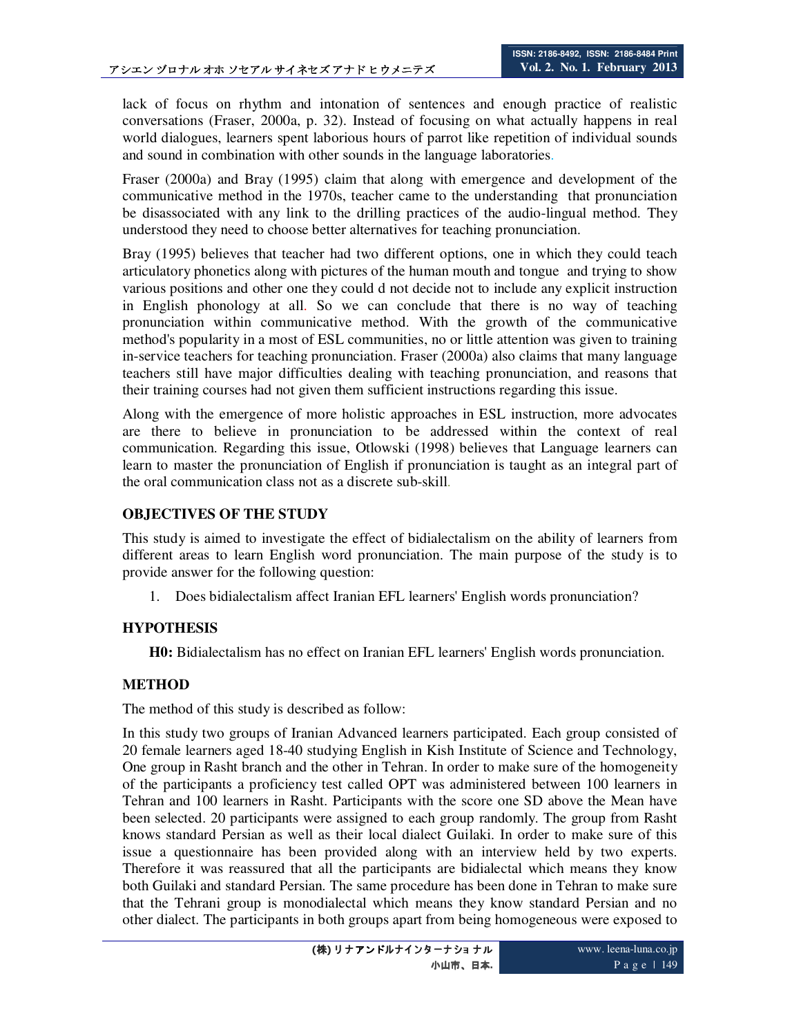lack of focus on rhythm and intonation of sentences and enough practice of realistic conversations (Fraser, 2000a, p. 32). Instead of focusing on what actually happens in real world dialogues, learners spent laborious hours of parrot like repetition of individual sounds and sound in combination with other sounds in the language laboratories.

Fraser (2000a) and Bray (1995) claim that along with emergence and development of the communicative method in the 1970s, teacher came to the understanding that pronunciation be disassociated with any link to the drilling practices of the audio-lingual method. They understood they need to choose better alternatives for teaching pronunciation.

Bray (1995) believes that teacher had two different options, one in which they could teach articulatory phonetics along with pictures of the human mouth and tongue and trying to show various positions and other one they could d not decide not to include any explicit instruction in English phonology at all. So we can conclude that there is no way of teaching pronunciation within communicative method. With the growth of the communicative method's popularity in a most of ESL communities, no or little attention was given to training in-service teachers for teaching pronunciation. Fraser (2000a) also claims that many language teachers still have major difficulties dealing with teaching pronunciation, and reasons that their training courses had not given them sufficient instructions regarding this issue.

Along with the emergence of more holistic approaches in ESL instruction, more advocates are there to believe in pronunciation to be addressed within the context of real communication. Regarding this issue, Otlowski (1998) believes that Language learners can learn to master the pronunciation of English if pronunciation is taught as an integral part of the oral communication class not as a discrete sub-skill.

### **OBJECTIVES OF THE STUDY**

This study is aimed to investigate the effect of bidialectalism on the ability of learners from different areas to learn English word pronunciation. The main purpose of the study is to provide answer for the following question:

1. Does bidialectalism affect Iranian EFL learners' English words pronunciation?

## **HYPOTHESIS**

**H0:** Bidialectalism has no effect on Iranian EFL learners' English words pronunciation.

## **METHOD**

The method of this study is described as follow:

In this study two groups of Iranian Advanced learners participated. Each group consisted of 20 female learners aged 18-40 studying English in Kish Institute of Science and Technology, One group in Rasht branch and the other in Tehran. In order to make sure of the homogeneity of the participants a proficiency test called OPT was administered between 100 learners in Tehran and 100 learners in Rasht. Participants with the score one SD above the Mean have been selected. 20 participants were assigned to each group randomly. The group from Rasht knows standard Persian as well as their local dialect Guilaki. In order to make sure of this issue a questionnaire has been provided along with an interview held by two experts. Therefore it was reassured that all the participants are bidialectal which means they know both Guilaki and standard Persian. The same procedure has been done in Tehran to make sure that the Tehrani group is monodialectal which means they know standard Persian and no other dialect. The participants in both groups apart from being homogeneous were exposed to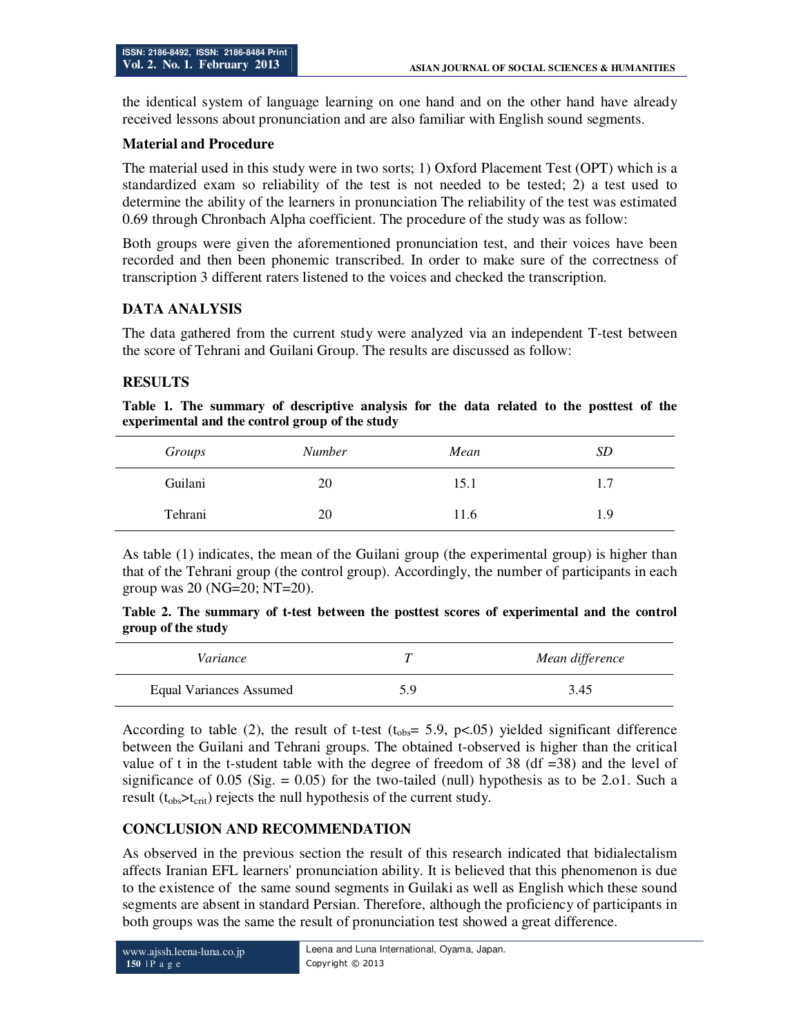the identical system of language learning on one hand and on the other hand have already received lessons about pronunciation and are also familiar with English sound segments.

### **Material and Procedure**

The material used in this study were in two sorts; 1) Oxford Placement Test (OPT) which is a standardized exam so reliability of the test is not needed to be tested; 2) a test used to determine the ability of the learners in pronunciation The reliability of the test was estimated 0.69 through Chronbach Alpha coefficient. The procedure of the study was as follow:

Both groups were given the aforementioned pronunciation test, and their voices have been recorded and then been phonemic transcribed. In order to make sure of the correctness of transcription 3 different raters listened to the voices and checked the transcription.

## **DATA ANALYSIS**

The data gathered from the current study were analyzed via an independent T-test between the score of Tehrani and Guilani Group. The results are discussed as follow:

### **RESULTS**

**Table 1. The summary of descriptive analysis for the data related to the posttest of the experimental and the control group of the study** 

| Groups  | <b>Number</b> | Mean | SD  |
|---------|---------------|------|-----|
| Guilani | 20            | 15.1 | 1.7 |
| Tehrani | 20            | 11.6 | 1.9 |

As table (1) indicates, the mean of the Guilani group (the experimental group) is higher than that of the Tehrani group (the control group). Accordingly, the number of participants in each group was 20 (NG=20; NT=20).

**Table 2. The summary of t-test between the posttest scores of experimental and the control group of the study** 

| Variance                |     | Mean difference |
|-------------------------|-----|-----------------|
| Equal Variances Assumed | 5.9 | 3.45            |

According to table (2), the result of t-test ( $t_{\text{obs}}$ = 5.9, p<.05) yielded significant difference between the Guilani and Tehrani groups. The obtained t-observed is higher than the critical value of t in the t-student table with the degree of freedom of 38 (df  $=38$ ) and the level of significance of 0.05 (Sig.  $= 0.05$ ) for the two-tailed (null) hypothesis as to be 2.01. Such a result  $(t_{obs} > t_{crit})$  rejects the null hypothesis of the current study.

#### **CONCLUSION AND RECOMMENDATION**

As observed in the previous section the result of this research indicated that bidialectalism affects Iranian EFL learners' pronunciation ability. It is believed that this phenomenon is due to the existence of the same sound segments in Guilaki as well as English which these sound segments are absent in standard Persian. Therefore, although the proficiency of participants in both groups was the same the result of pronunciation test showed a great difference.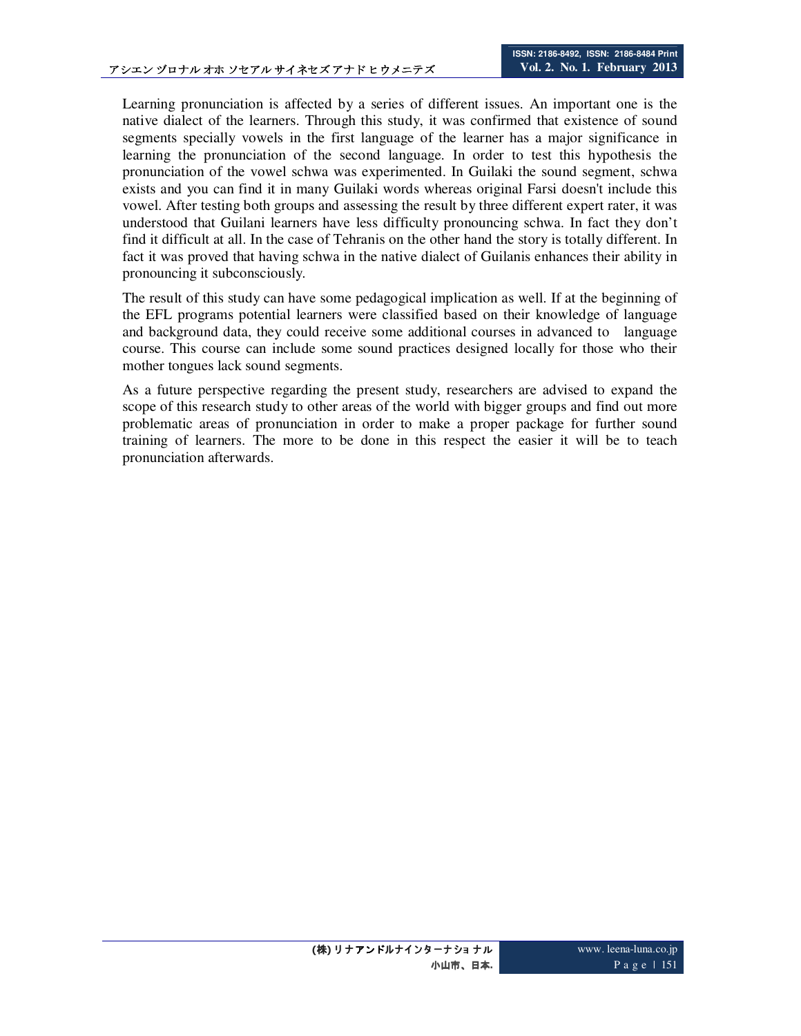Learning pronunciation is affected by a series of different issues. An important one is the native dialect of the learners. Through this study, it was confirmed that existence of sound segments specially vowels in the first language of the learner has a major significance in learning the pronunciation of the second language. In order to test this hypothesis the pronunciation of the vowel schwa was experimented. In Guilaki the sound segment, schwa exists and you can find it in many Guilaki words whereas original Farsi doesn't include this vowel. After testing both groups and assessing the result by three different expert rater, it was understood that Guilani learners have less difficulty pronouncing schwa. In fact they don't find it difficult at all. In the case of Tehranis on the other hand the story is totally different. In fact it was proved that having schwa in the native dialect of Guilanis enhances their ability in pronouncing it subconsciously.

The result of this study can have some pedagogical implication as well. If at the beginning of the EFL programs potential learners were classified based on their knowledge of language and background data, they could receive some additional courses in advanced to language course. This course can include some sound practices designed locally for those who their mother tongues lack sound segments.

As a future perspective regarding the present study, researchers are advised to expand the scope of this research study to other areas of the world with bigger groups and find out more problematic areas of pronunciation in order to make a proper package for further sound training of learners. The more to be done in this respect the easier it will be to teach pronunciation afterwards.